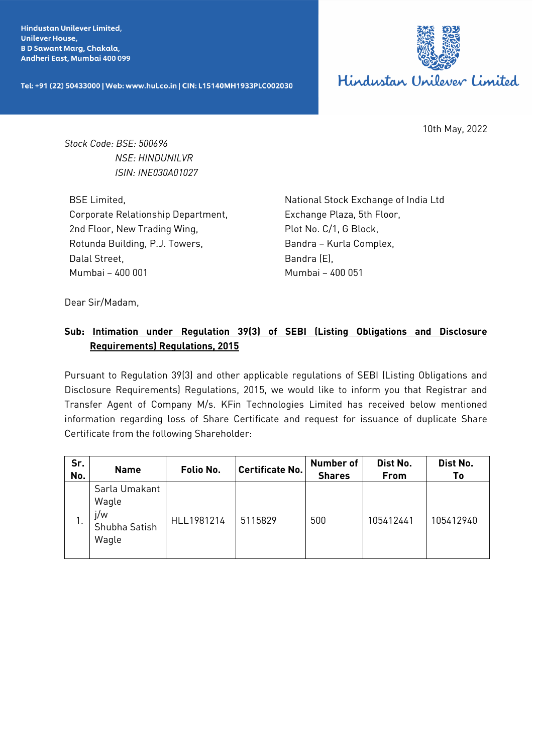**Hindustan Unilever Limited, Unilever House, BD Sawant Marg, Chakala,** Andheri East, Mumbai 400 099

Tel: +91 (22) 50433000 | Web: www.hul.co.in | CIN: L15140MH1933PLC002030



10th May, 2022

*Stock Code: BSE: 500696 NSE: HINDUNILVR ISIN: INE030A01027*

BSE Limited, Corporate Relationship Department, 2nd Floor, New Trading Wing, Rotunda Building, P.J. Towers, Dalal Street, Mumbai – 400 001

National Stock Exchange of India Ltd Exchange Plaza, 5th Floor, Plot No. C/1, G Block, Bandra – Kurla Complex, Bandra (E), Mumbai – 400 051

Dear Sir/Madam,

## **Sub: Intimation under Regulation 39(3) of SEBI (Listing Obligations and Disclosure Requirements) Regulations, 2015**

Pursuant to Regulation 39(3) and other applicable regulations of SEBI (Listing Obligations and Disclosure Requirements) Regulations, 2015, we would like to inform you that Registrar and Transfer Agent of Company M/s. KFin Technologies Limited has received below mentioned information regarding loss of Share Certificate and request for issuance of duplicate Share Certificate from the following Shareholder:

| Sr.<br>No. | <b>Name</b>                                             | Folio No.  | <b>Certificate No.</b> | <b>Number of</b><br><b>Shares</b> | Dist No.<br>From | Dist No.<br>Τo |
|------------|---------------------------------------------------------|------------|------------------------|-----------------------------------|------------------|----------------|
| . .        | Sarla Umakant<br>Wagle<br>i/w<br>Shubha Satish<br>Wagle | HLL1981214 | 5115829                | 500                               | 105412441        | 105412940      |